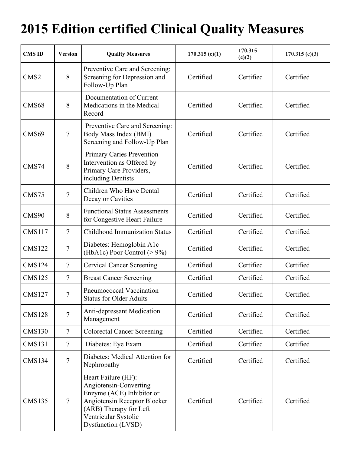## **2015 Edition certified Clinical Quality Measures**

| <b>CMS ID</b>    | <b>Version</b> | <b>Quality Measures</b>                                                                                                                                                            | 170.315(c)(1) | 170.315<br>(c)(2) | 170.315(c)(3) |
|------------------|----------------|------------------------------------------------------------------------------------------------------------------------------------------------------------------------------------|---------------|-------------------|---------------|
| CMS <sub>2</sub> | 8              | Preventive Care and Screening:<br>Screening for Depression and<br>Follow-Up Plan                                                                                                   | Certified     | Certified         | Certified     |
| CMS68            | 8              | Documentation of Current<br>Medications in the Medical<br>Record                                                                                                                   | Certified     | Certified         | Certified     |
| CMS69            | $\tau$         | Preventive Care and Screening:<br>Body Mass Index (BMI)<br>Screening and Follow-Up Plan                                                                                            | Certified     | Certified         | Certified     |
| CMS74            | 8              | <b>Primary Caries Prevention</b><br>Intervention as Offered by<br>Primary Care Providers,<br>including Dentists                                                                    | Certified     | Certified         | Certified     |
| CMS75            | $\overline{7}$ | Children Who Have Dental<br>Decay or Cavities                                                                                                                                      | Certified     | Certified         | Certified     |
| CMS90            | 8              | <b>Functional Status Assessments</b><br>for Congestive Heart Failure                                                                                                               | Certified     | Certified         | Certified     |
| <b>CMS117</b>    | $\overline{7}$ | <b>Childhood Immunization Status</b>                                                                                                                                               | Certified     | Certified         | Certified     |
| <b>CMS122</b>    | $\tau$         | Diabetes: Hemoglobin A1c<br>(HbA1c) Poor Control $(>9\%)$                                                                                                                          | Certified     | Certified         | Certified     |
| <b>CMS124</b>    | $\tau$         | <b>Cervical Cancer Screening</b>                                                                                                                                                   | Certified     | Certified         | Certified     |
| <b>CMS125</b>    | $\overline{7}$ | <b>Breast Cancer Screening</b>                                                                                                                                                     | Certified     | Certified         | Certified     |
| <b>CMS127</b>    | $\tau$         | Pneumococcal Vaccination<br><b>Status for Older Adults</b>                                                                                                                         | Certified     | Certified         | Certified     |
| <b>CMS128</b>    | $\tau$         | Anti-depressant Medication<br>Management                                                                                                                                           | Certified     | Certified         | Certified     |
| <b>CMS130</b>    | $\overline{7}$ | <b>Colorectal Cancer Screening</b>                                                                                                                                                 | Certified     | Certified         | Certified     |
| <b>CMS131</b>    | $\overline{7}$ | Diabetes: Eye Exam                                                                                                                                                                 | Certified     | Certified         | Certified     |
| <b>CMS134</b>    | $\overline{7}$ | Diabetes: Medical Attention for<br>Nephropathy                                                                                                                                     | Certified     | Certified         | Certified     |
| <b>CMS135</b>    | $\tau$         | Heart Failure (HF):<br>Angiotensin-Converting<br>Enzyme (ACE) Inhibitor or<br>Angiotensin Receptor Blocker<br>(ARB) Therapy for Left<br>Ventricular Systolic<br>Dysfunction (LVSD) | Certified     | Certified         | Certified     |